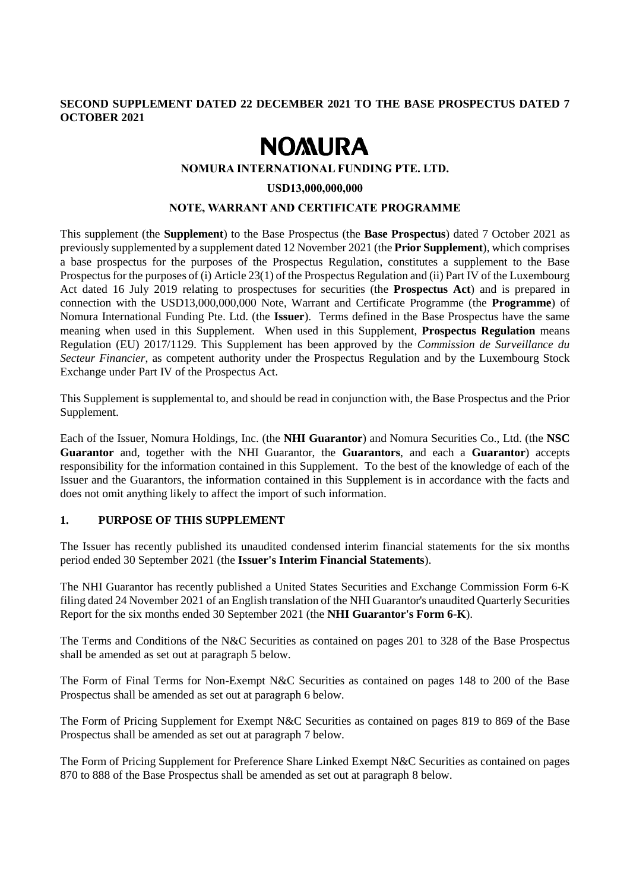## **SECOND SUPPLEMENT DATED 22 DECEMBER 2021 TO THE BASE PROSPECTUS DATED 7 OCTOBER 2021**

# **NOMURA**

#### **NOMURA INTERNATIONAL FUNDING PTE. LTD.**

#### **USD13,000,000,000**

#### **NOTE, WARRANT AND CERTIFICATE PROGRAMME**

This supplement (the **Supplement**) to the Base Prospectus (the **Base Prospectus**) dated 7 October 2021 as previously supplemented by a supplement dated 12 November 2021 (the **Prior Supplement**), which comprises a base prospectus for the purposes of the Prospectus Regulation, constitutes a supplement to the Base Prospectus for the purposes of (i) Article 23(1) of the Prospectus Regulation and (ii) Part IV of the Luxembourg Act dated 16 July 2019 relating to prospectuses for securities (the **Prospectus Act**) and is prepared in connection with the USD13,000,000,000 Note, Warrant and Certificate Programme (the **Programme**) of Nomura International Funding Pte. Ltd. (the **Issuer**). Terms defined in the Base Prospectus have the same meaning when used in this Supplement. When used in this Supplement, **Prospectus Regulation** means Regulation (EU) 2017/1129. This Supplement has been approved by the *Commission de Surveillance du Secteur Financier*, as competent authority under the Prospectus Regulation and by the Luxembourg Stock Exchange under Part IV of the Prospectus Act.

This Supplement is supplemental to, and should be read in conjunction with, the Base Prospectus and the Prior Supplement.

Each of the Issuer, Nomura Holdings, Inc. (the **NHI Guarantor**) and Nomura Securities Co., Ltd. (the **NSC Guarantor** and, together with the NHI Guarantor, the **Guarantors**, and each a **Guarantor**) accepts responsibility for the information contained in this Supplement. To the best of the knowledge of each of the Issuer and the Guarantors, the information contained in this Supplement is in accordance with the facts and does not omit anything likely to affect the import of such information.

#### **1. PURPOSE OF THIS SUPPLEMENT**

The Issuer has recently published its unaudited condensed interim financial statements for the six months period ended 30 September 2021 (the **Issuer's Interim Financial Statements**).

The NHI Guarantor has recently published a United States Securities and Exchange Commission Form 6-K filing dated 24 November 2021 of an English translation of the NHI Guarantor's unaudited Quarterly Securities Report for the six months ended 30 September 2021 (the **NHI Guarantor's Form 6-K**).

The Terms and Conditions of the N&C Securities as contained on pages 201 to 328 of the Base Prospectus shall be amended as set out at paragraph 5 below.

The Form of Final Terms for Non-Exempt N&C Securities as contained on pages 148 to 200 of the Base Prospectus shall be amended as set out at paragraph 6 below.

The Form of Pricing Supplement for Exempt N&C Securities as contained on pages 819 to 869 of the Base Prospectus shall be amended as set out at paragraph 7 below.

The Form of Pricing Supplement for Preference Share Linked Exempt N&C Securities as contained on pages 870 to 888 of the Base Prospectus shall be amended as set out at paragraph 8 below.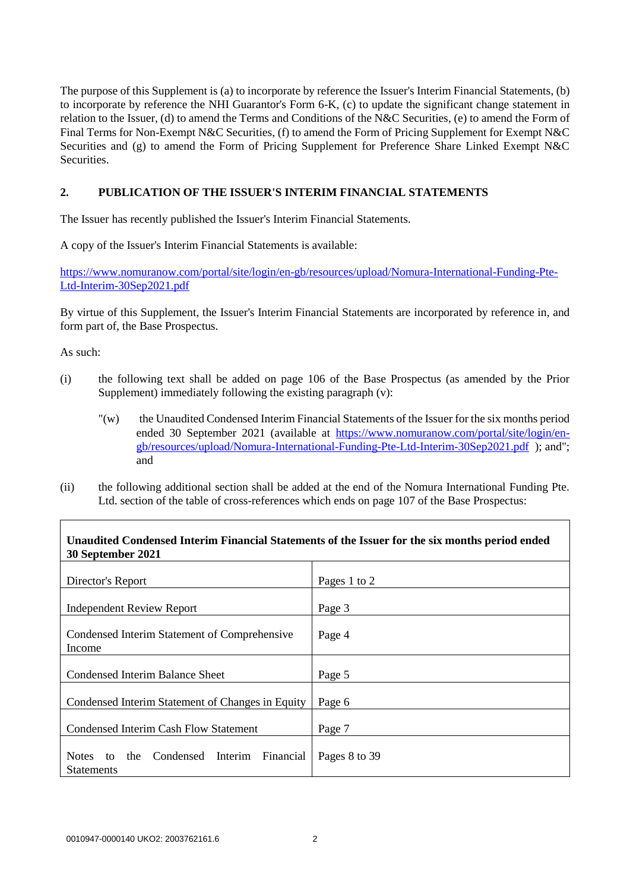The purpose of this Supplement is (a) to incorporate by reference the Issuer's Interim Financial Statements, (b) to incorporate by reference the NHI Guarantor's Form 6-K, (c) to update the significant change statement in relation to the Issuer, (d) to amend the Terms and Conditions of the N&C Securities, (e) to amend the Form of Final Terms for Non-Exempt N&C Securities, (f) to amend the Form of Pricing Supplement for Exempt N&C Securities and (g) to amend the Form of Pricing Supplement for Preference Share Linked Exempt N&C Securities.

# **2. PUBLICATION OF THE ISSUER'S INTERIM FINANCIAL STATEMENTS**

The Issuer has recently published the Issuer's Interim Financial Statements.

A copy of the Issuer's Interim Financial Statements is available:

[https://www.nomuranow.com/portal/site/login/en-gb/resources/upload/Nomura-International-Funding-Pte-](https://www.nomuranow.com/portal/site/login/en-gb/resources/upload/Nomura-International-Funding-Pte-Ltd-Interim-30Sep2021.pdf)[Ltd-Interim-30Sep2021.pdf](https://www.nomuranow.com/portal/site/login/en-gb/resources/upload/Nomura-International-Funding-Pte-Ltd-Interim-30Sep2021.pdf)

By virtue of this Supplement, the Issuer's Interim Financial Statements are incorporated by reference in, and form part of, the Base Prospectus.

As such:

- (i) the following text shall be added on page 106 of the Base Prospectus (as amended by the Prior Supplement) immediately following the existing paragraph (v):
	- "(w) the Unaudited Condensed Interim Financial Statements of the Issuer for the six months period ended 30 September 2021 (available at [https://www.nomuranow.com/portal/site/login/en](https://www.nomuranow.com/portal/site/login/en-gb/resources/upload/Nomura-International-Funding-Pte-Ltd-Interim-30Sep2021.pdf)[gb/resources/upload/Nomura-International-Funding-Pte-Ltd-Interim-30Sep2021.pdf](https://www.nomuranow.com/portal/site/login/en-gb/resources/upload/Nomura-International-Funding-Pte-Ltd-Interim-30Sep2021.pdf) ); and"; and
- (ii) the following additional section shall be added at the end of the Nomura International Funding Pte. Ltd. section of the table of cross-references which ends on page 107 of the Base Prospectus:

## **Unaudited Condensed Interim Financial Statements of the Issuer for the six months period ended 30 September 2021**

| Director's Report                                                             | Pages 1 to 2  |
|-------------------------------------------------------------------------------|---------------|
| <b>Independent Review Report</b>                                              | Page 3        |
| Condensed Interim Statement of Comprehensive<br>Income                        | Page 4        |
| Condensed Interim Balance Sheet                                               | Page 5        |
| Condensed Interim Statement of Changes in Equity                              | Page 6        |
| Condensed Interim Cash Flow Statement                                         | Page 7        |
| <b>Notes</b><br>Condensed Interim Financial<br>the<br>to<br><b>Statements</b> | Pages 8 to 39 |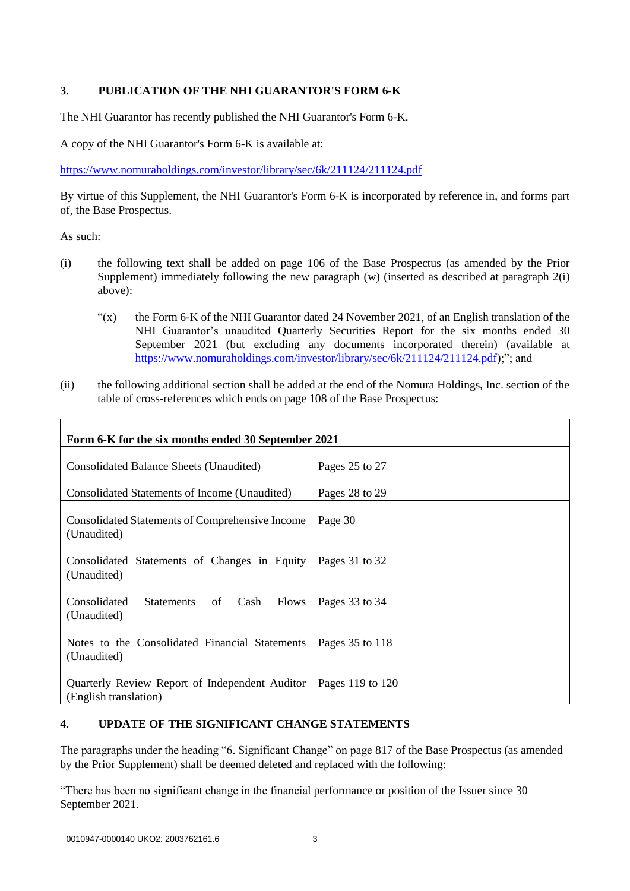## **3. PUBLICATION OF THE NHI GUARANTOR'S FORM 6-K**

The NHI Guarantor has recently published the NHI Guarantor's Form 6-K.

A copy of the NHI Guarantor's Form 6-K is available at:

<https://www.nomuraholdings.com/investor/library/sec/6k/211124/211124.pdf>

By virtue of this Supplement, the NHI Guarantor's Form 6-K is incorporated by reference in, and forms part of, the Base Prospectus.

As such:

- (i) the following text shall be added on page 106 of the Base Prospectus (as amended by the Prior Supplement) immediately following the new paragraph (w) (inserted as described at paragraph 2(i) above):
	- " $(x)$  the Form 6-K of the NHI Guarantor dated 24 November 2021, of an English translation of the NHI Guarantor's unaudited Quarterly Securities Report for the six months ended 30 September 2021 (but excluding any documents incorporated therein) (available at [https://www.nomuraholdings.com/investor/library/sec/6k/211124/211124.pdf\)](https://www.nomuraholdings.com/investor/library/sec/6k/211124/211124.pdf);"; and
- (ii) the following additional section shall be added at the end of the Nomura Holdings, Inc. section of the table of cross-references which ends on page 108 of the Base Prospectus:

| Form 6-K for the six months ended 30 September 2021                     |                  |
|-------------------------------------------------------------------------|------------------|
| Consolidated Balance Sheets (Unaudited)                                 | Pages 25 to 27   |
| Consolidated Statements of Income (Unaudited)                           | Pages 28 to 29   |
| Consolidated Statements of Comprehensive Income<br>(Unaudited)          | Page 30          |
| Consolidated Statements of Changes in Equity<br>(Unaudited)             | Pages 31 to 32   |
| Consolidated<br>Statements<br><b>Flows</b><br>Cash<br>of<br>(Unaudited) | Pages 33 to 34   |
| Notes to the Consolidated Financial Statements<br>(Unaudited)           | Pages 35 to 118  |
| Quarterly Review Report of Independent Auditor<br>(English translation) | Pages 119 to 120 |

## **4. UPDATE OF THE SIGNIFICANT CHANGE STATEMENTS**

The paragraphs under the heading "6. Significant Change" on page 817 of the Base Prospectus (as amended by the Prior Supplement) shall be deemed deleted and replaced with the following:

"There has been no significant change in the financial performance or position of the Issuer since 30 September 2021.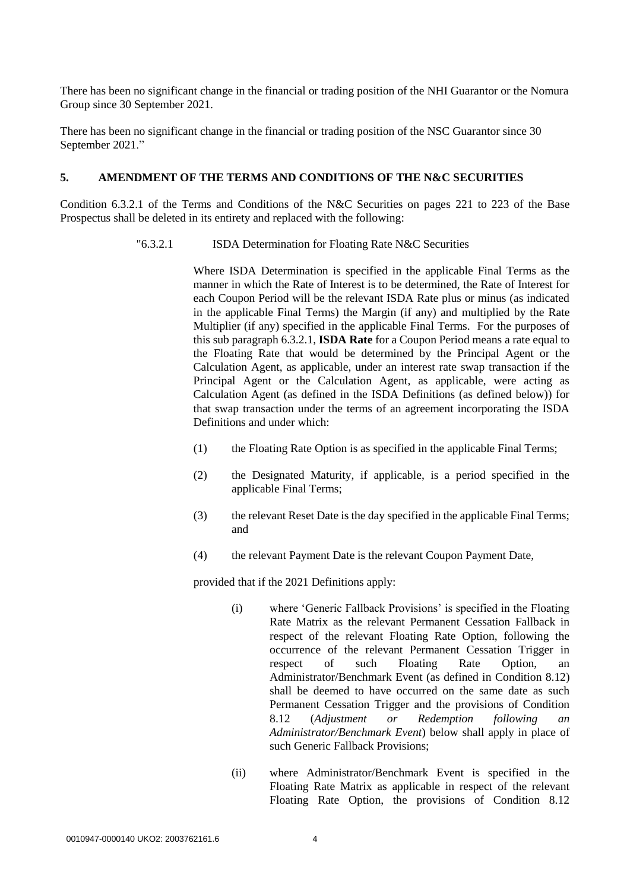There has been no significant change in the financial or trading position of the NHI Guarantor or the Nomura Group since 30 September 2021.

There has been no significant change in the financial or trading position of the NSC Guarantor since 30 September 2021."

#### **5. AMENDMENT OF THE TERMS AND CONDITIONS OF THE N&C SECURITIES**

Condition 6.3.2.1 of the Terms and Conditions of the N&C Securities on pages 221 to 223 of the Base Prospectus shall be deleted in its entirety and replaced with the following:

"6.3.2.1 ISDA Determination for Floating Rate N&C Securities

Where ISDA Determination is specified in the applicable Final Terms as the manner in which the Rate of Interest is to be determined, the Rate of Interest for each Coupon Period will be the relevant ISDA Rate plus or minus (as indicated in the applicable Final Terms) the Margin (if any) and multiplied by the Rate Multiplier (if any) specified in the applicable Final Terms. For the purposes of this sub paragraph 6.3.2.1, **ISDA Rate** for a Coupon Period means a rate equal to the Floating Rate that would be determined by the Principal Agent or the Calculation Agent, as applicable, under an interest rate swap transaction if the Principal Agent or the Calculation Agent, as applicable, were acting as Calculation Agent (as defined in the ISDA Definitions (as defined below)) for that swap transaction under the terms of an agreement incorporating the ISDA Definitions and under which:

- (1) the Floating Rate Option is as specified in the applicable Final Terms;
- (2) the Designated Maturity, if applicable, is a period specified in the applicable Final Terms;
- (3) the relevant Reset Date is the day specified in the applicable Final Terms; and
- (4) the relevant Payment Date is the relevant Coupon Payment Date,

provided that if the 2021 Definitions apply:

- (i) where 'Generic Fallback Provisions' is specified in the Floating Rate Matrix as the relevant Permanent Cessation Fallback in respect of the relevant Floating Rate Option, following the occurrence of the relevant Permanent Cessation Trigger in respect of such Floating Rate Option, an Administrator/Benchmark Event (as defined in Condition 8.12) shall be deemed to have occurred on the same date as such Permanent Cessation Trigger and the provisions of Condition 8.12 (*Adjustment or Redemption following an Administrator/Benchmark Event*) below shall apply in place of such Generic Fallback Provisions;
- (ii) where Administrator/Benchmark Event is specified in the Floating Rate Matrix as applicable in respect of the relevant Floating Rate Option, the provisions of Condition 8.12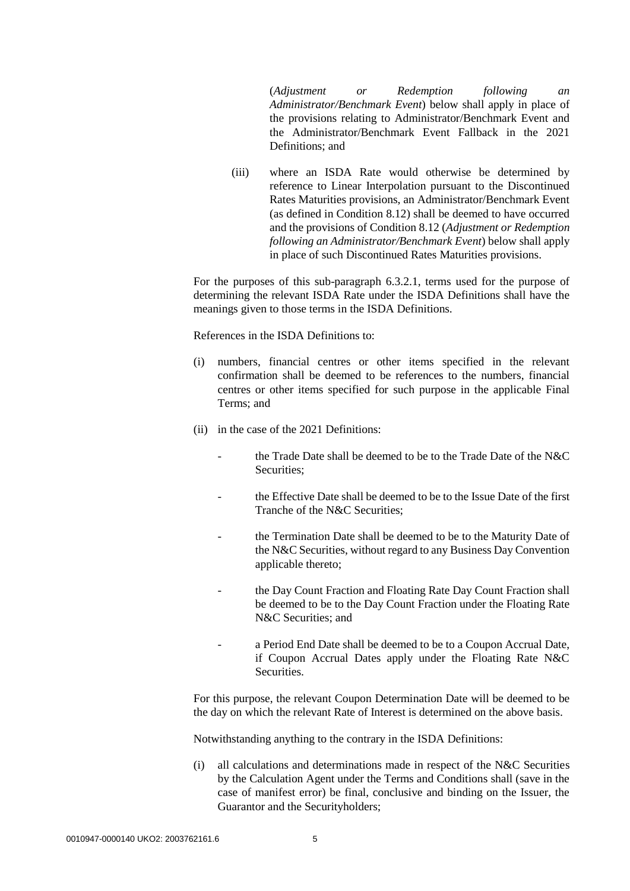(*Adjustment or Redemption following an Administrator/Benchmark Event*) below shall apply in place of the provisions relating to Administrator/Benchmark Event and the Administrator/Benchmark Event Fallback in the 2021 Definitions; and

(iii) where an ISDA Rate would otherwise be determined by reference to Linear Interpolation pursuant to the Discontinued Rates Maturities provisions, an Administrator/Benchmark Event (as defined in Condition 8.12) shall be deemed to have occurred and the provisions of Condition 8.12 (*Adjustment or Redemption following an Administrator/Benchmark Event*) below shall apply in place of such Discontinued Rates Maturities provisions.

For the purposes of this sub-paragraph 6.3.2.1, terms used for the purpose of determining the relevant ISDA Rate under the ISDA Definitions shall have the meanings given to those terms in the ISDA Definitions.

References in the ISDA Definitions to:

- (i) numbers, financial centres or other items specified in the relevant confirmation shall be deemed to be references to the numbers, financial centres or other items specified for such purpose in the applicable Final Terms; and
- (ii) in the case of the 2021 Definitions:
	- the Trade Date shall be deemed to be to the Trade Date of the N&C Securities;
	- the Effective Date shall be deemed to be to the Issue Date of the first Tranche of the N&C Securities;
	- the Termination Date shall be deemed to be to the Maturity Date of the N&C Securities, without regard to any Business Day Convention applicable thereto;
	- the Day Count Fraction and Floating Rate Day Count Fraction shall be deemed to be to the Day Count Fraction under the Floating Rate N&C Securities; and
	- a Period End Date shall be deemed to be to a Coupon Accrual Date, if Coupon Accrual Dates apply under the Floating Rate N&C Securities.

For this purpose, the relevant Coupon Determination Date will be deemed to be the day on which the relevant Rate of Interest is determined on the above basis.

Notwithstanding anything to the contrary in the ISDA Definitions:

(i) all calculations and determinations made in respect of the N&C Securities by the Calculation Agent under the Terms and Conditions shall (save in the case of manifest error) be final, conclusive and binding on the Issuer, the Guarantor and the Securityholders;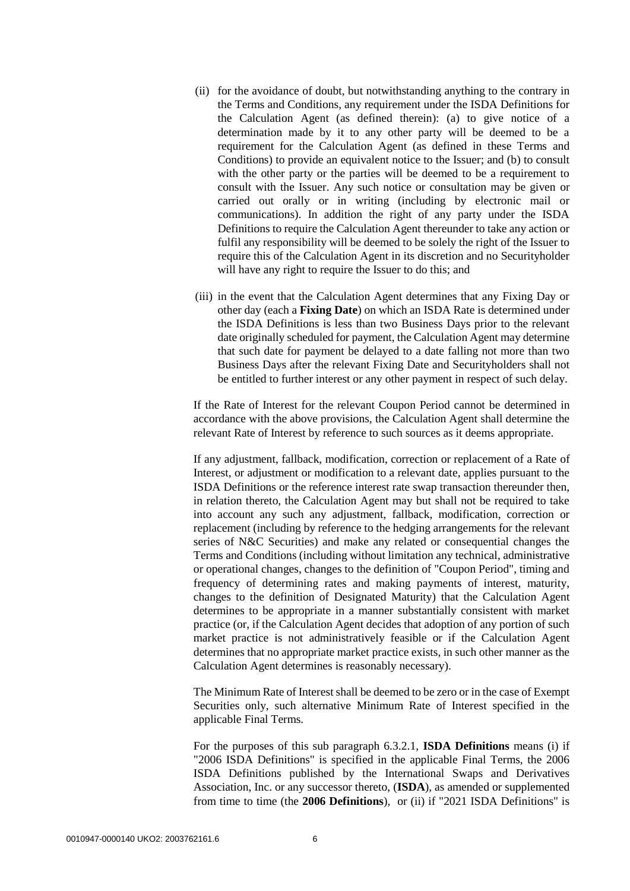- (ii) for the avoidance of doubt, but notwithstanding anything to the contrary in the Terms and Conditions, any requirement under the ISDA Definitions for the Calculation Agent (as defined therein): (a) to give notice of a determination made by it to any other party will be deemed to be a requirement for the Calculation Agent (as defined in these Terms and Conditions) to provide an equivalent notice to the Issuer; and (b) to consult with the other party or the parties will be deemed to be a requirement to consult with the Issuer. Any such notice or consultation may be given or carried out orally or in writing (including by electronic mail or communications). In addition the right of any party under the ISDA Definitions to require the Calculation Agent thereunder to take any action or fulfil any responsibility will be deemed to be solely the right of the Issuer to require this of the Calculation Agent in its discretion and no Securityholder will have any right to require the Issuer to do this; and
- (iii) in the event that the Calculation Agent determines that any Fixing Day or other day (each a **Fixing Date**) on which an ISDA Rate is determined under the ISDA Definitions is less than two Business Days prior to the relevant date originally scheduled for payment, the Calculation Agent may determine that such date for payment be delayed to a date falling not more than two Business Days after the relevant Fixing Date and Securityholders shall not be entitled to further interest or any other payment in respect of such delay.

If the Rate of Interest for the relevant Coupon Period cannot be determined in accordance with the above provisions, the Calculation Agent shall determine the relevant Rate of Interest by reference to such sources as it deems appropriate.

If any adjustment, fallback, modification, correction or replacement of a Rate of Interest, or adjustment or modification to a relevant date, applies pursuant to the ISDA Definitions or the reference interest rate swap transaction thereunder then, in relation thereto, the Calculation Agent may but shall not be required to take into account any such any adjustment, fallback, modification, correction or replacement (including by reference to the hedging arrangements for the relevant series of N&C Securities) and make any related or consequential changes the Terms and Conditions (including without limitation any technical, administrative or operational changes, changes to the definition of "Coupon Period", timing and frequency of determining rates and making payments of interest, maturity, changes to the definition of Designated Maturity) that the Calculation Agent determines to be appropriate in a manner substantially consistent with market practice (or, if the Calculation Agent decides that adoption of any portion of such market practice is not administratively feasible or if the Calculation Agent determines that no appropriate market practice exists, in such other manner as the Calculation Agent determines is reasonably necessary).

The Minimum Rate of Interest shall be deemed to be zero or in the case of Exempt Securities only, such alternative Minimum Rate of Interest specified in the applicable Final Terms.

For the purposes of this sub paragraph 6.3.2.1, **ISDA Definitions** means (i) if "2006 ISDA Definitions" is specified in the applicable Final Terms, the 2006 ISDA Definitions published by the International Swaps and Derivatives Association, Inc. or any successor thereto, (**ISDA**), as amended or supplemented from time to time (the **2006 Definitions**), or (ii) if "2021 ISDA Definitions" is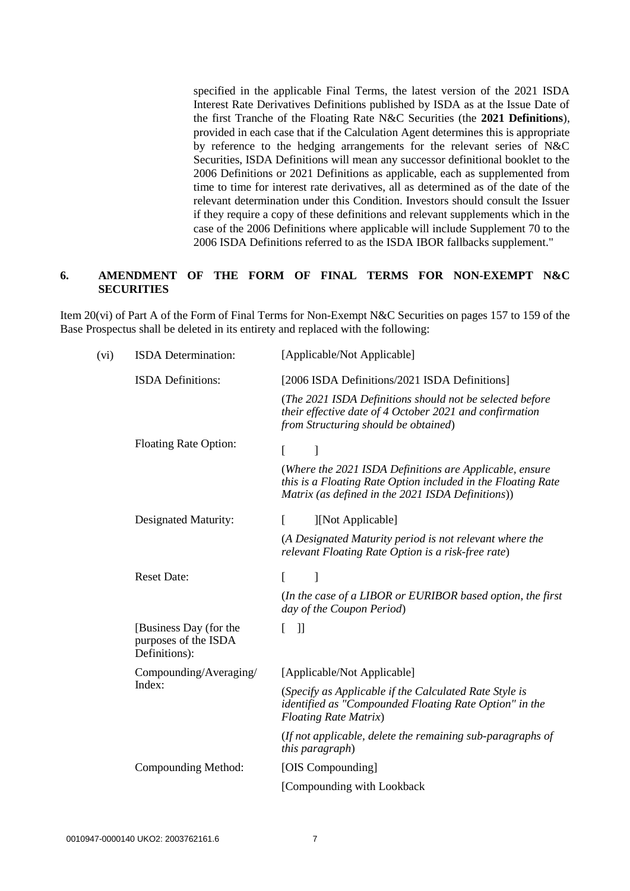specified in the applicable Final Terms, the latest version of the 2021 ISDA Interest Rate Derivatives Definitions published by ISDA as at the Issue Date of the first Tranche of the Floating Rate N&C Securities (the **2021 Definitions**), provided in each case that if the Calculation Agent determines this is appropriate by reference to the hedging arrangements for the relevant series of N&C Securities, ISDA Definitions will mean any successor definitional booklet to the 2006 Definitions or 2021 Definitions as applicable, each as supplemented from time to time for interest rate derivatives, all as determined as of the date of the relevant determination under this Condition. Investors should consult the Issuer if they require a copy of these definitions and relevant supplements which in the case of the 2006 Definitions where applicable will include Supplement 70 to the 2006 ISDA Definitions referred to as the ISDA IBOR fallbacks supplement."

## **6. AMENDMENT OF THE FORM OF FINAL TERMS FOR NON-EXEMPT N&C SECURITIES**

Item 20(vi) of Part A of the Form of Final Terms for Non-Exempt N&C Securities on pages 157 to 159 of the Base Prospectus shall be deleted in its entirety and replaced with the following:

| (vi)               | <b>ISDA</b> Determination:                                      | [Applicable/Not Applicable]                                                                                                                                                  |
|--------------------|-----------------------------------------------------------------|------------------------------------------------------------------------------------------------------------------------------------------------------------------------------|
|                    | <b>ISDA</b> Definitions:                                        | [2006 ISDA Definitions/2021 ISDA Definitions]                                                                                                                                |
|                    |                                                                 | (The 2021 ISDA Definitions should not be selected before<br>their effective date of 4 October 2021 and confirmation<br>from Structuring should be obtained)                  |
|                    | <b>Floating Rate Option:</b>                                    | L<br>1                                                                                                                                                                       |
|                    |                                                                 | (Where the 2021 ISDA Definitions are Applicable, ensure<br>this is a Floating Rate Option included in the Floating Rate<br>Matrix (as defined in the 2021 ISDA Definitions)) |
|                    | Designated Maturity:                                            | ][Not Applicable]<br>L                                                                                                                                                       |
|                    |                                                                 | (A Designated Maturity period is not relevant where the<br>relevant Floating Rate Option is a risk-free rate)                                                                |
| <b>Reset Date:</b> |                                                                 | 1<br>L                                                                                                                                                                       |
|                    |                                                                 | (In the case of a LIBOR or EURIBOR based option, the first<br>day of the Coupon Period)                                                                                      |
|                    | [Business Day (for the<br>purposes of the ISDA<br>Definitions): | $\mathbf{I}$                                                                                                                                                                 |
| Index:             | Compounding/Averaging/                                          | [Applicable/Not Applicable]                                                                                                                                                  |
|                    |                                                                 | (Specify as Applicable if the Calculated Rate Style is<br>identified as "Compounded Floating Rate Option" in the<br><b>Floating Rate Matrix)</b>                             |
|                    |                                                                 | (If not applicable, delete the remaining sub-paragraphs of<br><i>this paragraph</i> )                                                                                        |
|                    | Compounding Method:                                             | [OIS Compounding]                                                                                                                                                            |
|                    |                                                                 | [Compounding with Lookback                                                                                                                                                   |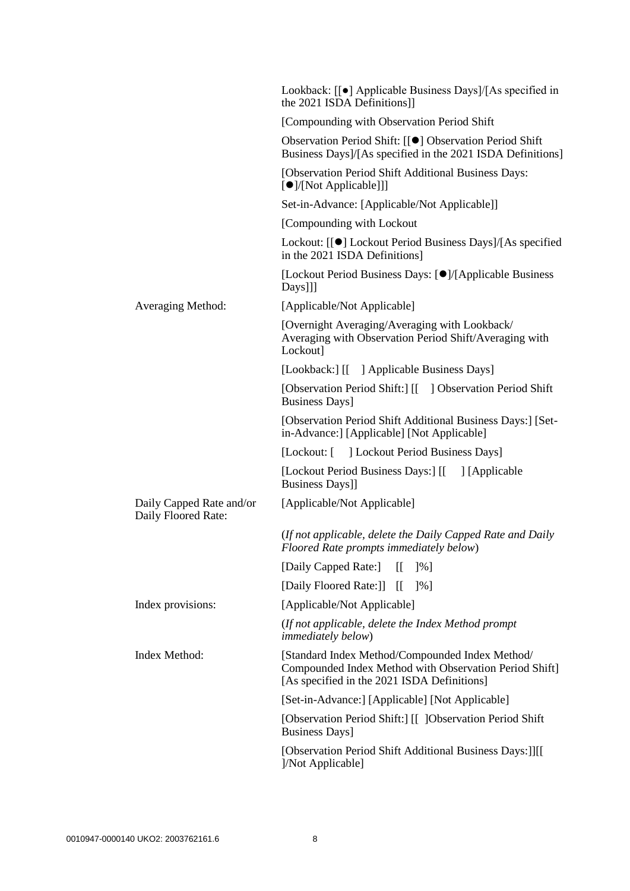|                                                 | Lookback: [[ $\bullet$ ] Applicable Business Days]/[As specified in<br>the 2021 ISDA Definitions]]                                                       |
|-------------------------------------------------|----------------------------------------------------------------------------------------------------------------------------------------------------------|
|                                                 | [Compounding with Observation Period Shift                                                                                                               |
|                                                 | Observation Period Shift: [[●] Observation Period Shift<br>Business Days]/[As specified in the 2021 ISDA Definitions]                                    |
|                                                 | [Observation Period Shift Additional Business Days:<br>[ <sup>•</sup> ]/[Not Applicable]]]                                                               |
|                                                 | Set-in-Advance: [Applicable/Not Applicable]]                                                                                                             |
|                                                 | [Compounding with Lockout]                                                                                                                               |
|                                                 | Lockout: [[●] Lockout Period Business Days]/[As specified<br>in the 2021 ISDA Definitions]                                                               |
|                                                 | [Lockout Period Business Days: [●]/[Applicable Business]<br>Days]]]                                                                                      |
| <b>Averaging Method:</b>                        | [Applicable/Not Applicable]                                                                                                                              |
|                                                 | [Overnight Averaging/Averaging with Lookback/<br>Averaging with Observation Period Shift/Averaging with<br>Lockout]                                      |
|                                                 | [Lookback:] [[ ] Applicable Business Days]                                                                                                               |
|                                                 | [Observation Period Shift:] [[ ] Observation Period Shift<br><b>Business Days</b> ]                                                                      |
|                                                 | [Observation Period Shift Additional Business Days:] [Set-<br>in-Advance:] [Applicable] [Not Applicable]                                                 |
|                                                 | [Lockout: [ ] Lockout Period Business Days]                                                                                                              |
|                                                 | [Lockout Period Business Days:] [[ ] [Applicable<br>Business Days]]                                                                                      |
| Daily Capped Rate and/or<br>Daily Floored Rate: | [Applicable/Not Applicable]                                                                                                                              |
|                                                 | (If not applicable, delete the Daily Capped Rate and Daily<br>Floored Rate prompts immediately below)                                                    |
|                                                 | [Daily Capped Rate:]<br>$\mathbb{I}$<br>$\frac{1}{6}$                                                                                                    |
|                                                 | [Daily Floored Rate:]]<br>$\mathbb{I}$<br>[%]                                                                                                            |
| Index provisions:                               | [Applicable/Not Applicable]                                                                                                                              |
|                                                 | (If not applicable, delete the Index Method prompt<br><i>immediately below)</i>                                                                          |
| Index Method:                                   | [Standard Index Method/Compounded Index Method/<br>Compounded Index Method with Observation Period Shift]<br>[As specified in the 2021 ISDA Definitions] |
|                                                 | [Set-in-Advance:] [Applicable] [Not Applicable]                                                                                                          |
|                                                 | [Observation Period Shift:] [[ ]Observation Period Shift<br><b>Business Days</b> ]                                                                       |
|                                                 | [Observation Period Shift Additional Business Days:]][[<br>]/Not Applicable]                                                                             |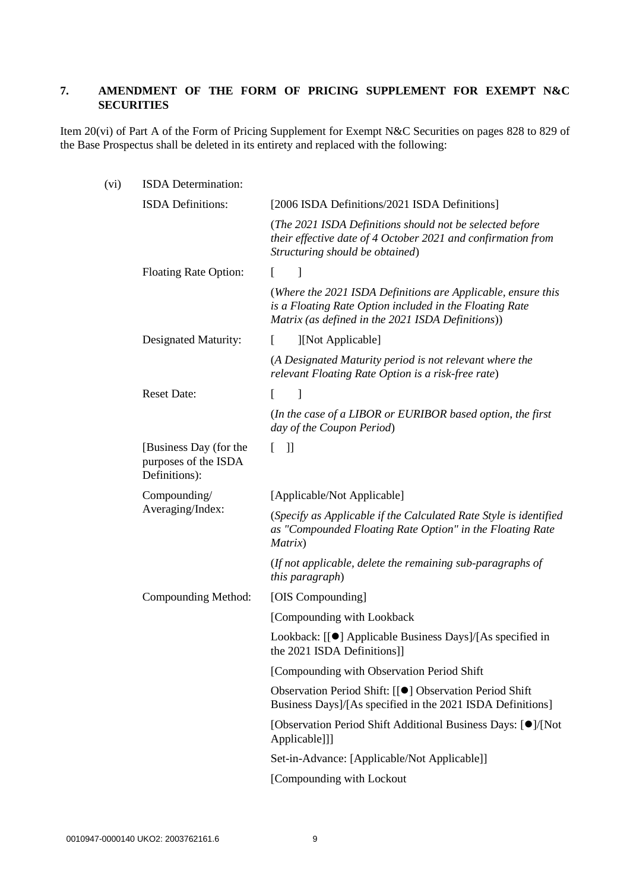## **7. AMENDMENT OF THE FORM OF PRICING SUPPLEMENT FOR EXEMPT N&C SECURITIES**

Item 20(vi) of Part A of the Form of Pricing Supplement for Exempt N&C Securities on pages 828 to 829 of the Base Prospectus shall be deleted in its entirety and replaced with the following:

| (vi) | <b>ISDA</b> Determination:                                      |                                                                                                                                                                              |
|------|-----------------------------------------------------------------|------------------------------------------------------------------------------------------------------------------------------------------------------------------------------|
|      | <b>ISDA</b> Definitions:                                        | [2006 ISDA Definitions/2021 ISDA Definitions]                                                                                                                                |
|      |                                                                 | (The 2021 ISDA Definitions should not be selected before<br>their effective date of 4 October 2021 and confirmation from<br>Structuring should be obtained)                  |
|      | <b>Floating Rate Option:</b>                                    | $\mathbf{I}$<br>$\Gamma$                                                                                                                                                     |
|      |                                                                 | (Where the 2021 ISDA Definitions are Applicable, ensure this<br>is a Floating Rate Option included in the Floating Rate<br>Matrix (as defined in the 2021 ISDA Definitions)) |
|      | Designated Maturity:                                            | [Not Applicable]<br>$\mathbf{L}$                                                                                                                                             |
|      |                                                                 | (A Designated Maturity period is not relevant where the<br>relevant Floating Rate Option is a risk-free rate)                                                                |
|      | <b>Reset Date:</b>                                              | 1<br>L                                                                                                                                                                       |
|      |                                                                 | (In the case of a LIBOR or EURIBOR based option, the first<br>day of the Coupon Period)                                                                                      |
|      | [Business Day (for the<br>purposes of the ISDA<br>Definitions): | $\exists$<br>L                                                                                                                                                               |
|      | Compounding/<br>Averaging/Index:                                | [Applicable/Not Applicable]                                                                                                                                                  |
|      |                                                                 | (Specify as Applicable if the Calculated Rate Style is identified<br>as "Compounded Floating Rate Option" in the Floating Rate<br>Matrix)                                    |
|      |                                                                 | (If not applicable, delete the remaining sub-paragraphs of<br><i>this paragraph</i> )                                                                                        |
|      | Compounding Method:                                             | [OIS Compounding]                                                                                                                                                            |
|      |                                                                 | [Compounding with Lookback                                                                                                                                                   |
|      |                                                                 | Lookback: [[●] Applicable Business Days]/[As specified in<br>the 2021 ISDA Definitions]]                                                                                     |
|      |                                                                 | [Compounding with Observation Period Shift]                                                                                                                                  |
|      |                                                                 | Observation Period Shift: [[●] Observation Period Shift<br>Business Days]/[As specified in the 2021 ISDA Definitions]                                                        |
|      |                                                                 | [Observation Period Shift Additional Business Days: [O]/[Not]<br>Applicable]]]                                                                                               |
|      |                                                                 | Set-in-Advance: [Applicable/Not Applicable]]                                                                                                                                 |
|      |                                                                 | [Compounding with Lockout                                                                                                                                                    |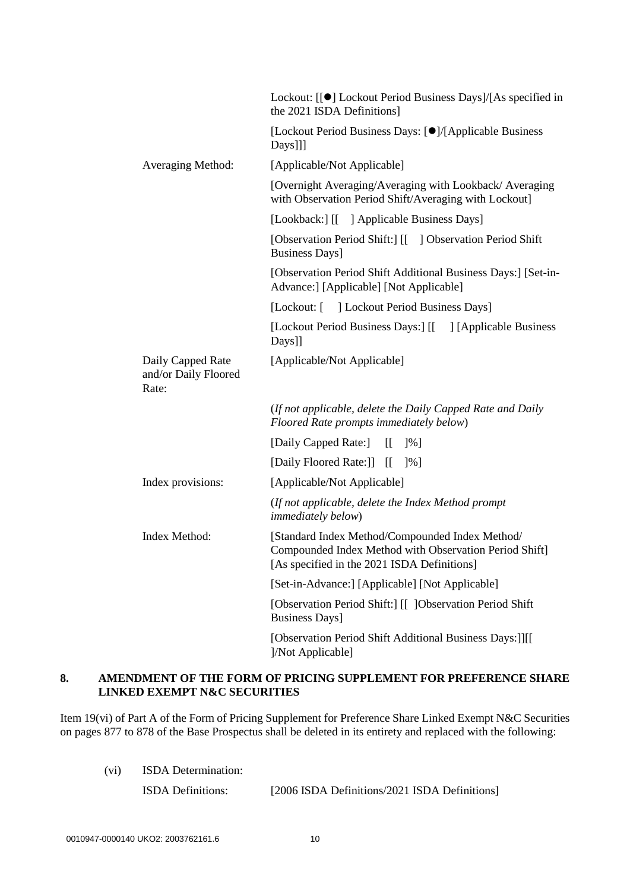|                                                    | Lockout: [[●] Lockout Period Business Days]/[As specified in                                                                                             |
|----------------------------------------------------|----------------------------------------------------------------------------------------------------------------------------------------------------------|
|                                                    | the 2021 ISDA Definitions]                                                                                                                               |
|                                                    | [Lockout Period Business Days: [●]/[Applicable Business]<br>Days]]]                                                                                      |
| Averaging Method:                                  | [Applicable/Not Applicable]                                                                                                                              |
|                                                    | [Overnight Averaging/Averaging with Lookback/Averaging<br>with Observation Period Shift/Averaging with Lockout]                                          |
|                                                    | [Lookback:] [[ ] Applicable Business Days]                                                                                                               |
|                                                    | [Observation Period Shift:] [[ ] Observation Period Shift<br><b>Business Days</b> ]                                                                      |
|                                                    | [Observation Period Shift Additional Business Days:] [Set-in-<br>Advance: [Applicable] [Not Applicable]                                                  |
|                                                    | [Lockout: [ ] Lockout Period Business Days]                                                                                                              |
|                                                    | [Lockout Period Business Days:] [[ ] [Applicable Business<br>Days]]                                                                                      |
| Daily Capped Rate<br>and/or Daily Floored<br>Rate: | [Applicable/Not Applicable]                                                                                                                              |
|                                                    | (If not applicable, delete the Daily Capped Rate and Daily<br>Floored Rate prompts immediately below)                                                    |
|                                                    | [Daily Capped Rate:]<br>$\mathbb{I}$<br>[%]                                                                                                              |
|                                                    | [Daily Floored Rate:]]<br>$\lceil \cdot \rceil$ %]                                                                                                       |
| Index provisions:                                  | [Applicable/Not Applicable]                                                                                                                              |
|                                                    | (If not applicable, delete the Index Method prompt<br><i>immediately below)</i>                                                                          |
| Index Method:                                      | [Standard Index Method/Compounded Index Method/<br>Compounded Index Method with Observation Period Shift]<br>[As specified in the 2021 ISDA Definitions] |
|                                                    | [Set-in-Advance:] [Applicable] [Not Applicable]                                                                                                          |
|                                                    | [Observation Period Shift:] [[ ]Observation Period Shift<br><b>Business Days</b> ]                                                                       |
|                                                    | [Observation Period Shift Additional Business Days:]][[<br>]/Not Applicable]                                                                             |

## **8. AMENDMENT OF THE FORM OF PRICING SUPPLEMENT FOR PREFERENCE SHARE LINKED EXEMPT N&C SECURITIES**

Item 19(vi) of Part A of the Form of Pricing Supplement for Preference Share Linked Exempt N&C Securities on pages 877 to 878 of the Base Prospectus shall be deleted in its entirety and replaced with the following:

(vi) ISDA Determination: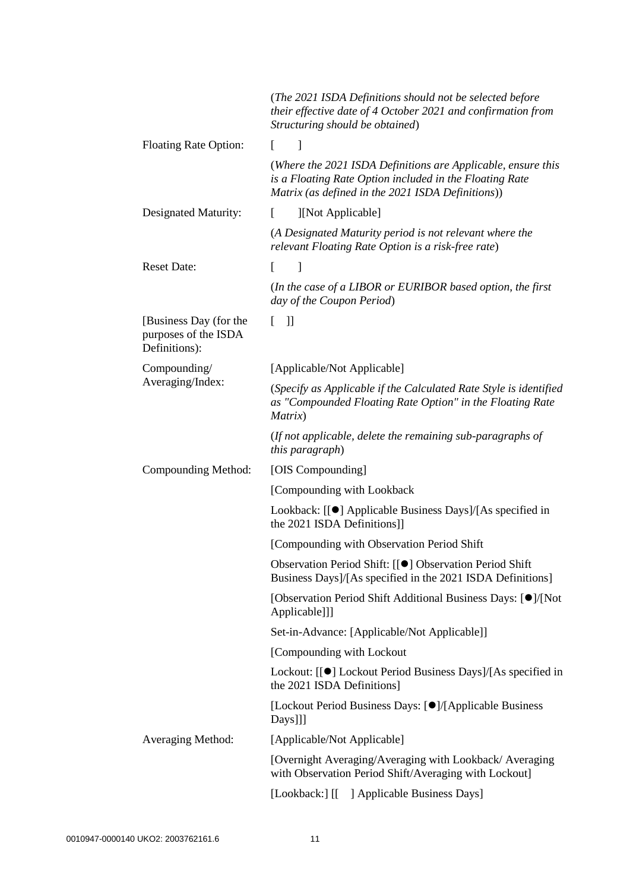|                                                                 | (The 2021 ISDA Definitions should not be selected before<br>their effective date of 4 October 2021 and confirmation from<br>Structuring should be obtained)                  |
|-----------------------------------------------------------------|------------------------------------------------------------------------------------------------------------------------------------------------------------------------------|
| <b>Floating Rate Option:</b>                                    | 1<br>$\mathsf{L}$                                                                                                                                                            |
|                                                                 | (Where the 2021 ISDA Definitions are Applicable, ensure this<br>is a Floating Rate Option included in the Floating Rate<br>Matrix (as defined in the 2021 ISDA Definitions)) |
| Designated Maturity:                                            | [Not Applicable]<br>$\mathbf{L}$                                                                                                                                             |
|                                                                 | (A Designated Maturity period is not relevant where the<br>relevant Floating Rate Option is a risk-free rate)                                                                |
| <b>Reset Date:</b>                                              | $\begin{array}{c} \end{array}$<br>L                                                                                                                                          |
|                                                                 | (In the case of a LIBOR or EURIBOR based option, the first<br>day of the Coupon Period)                                                                                      |
| [Business Day (for the<br>purposes of the ISDA<br>Definitions): | $\mathbf{J}$<br>L                                                                                                                                                            |
| Compounding/                                                    | [Applicable/Not Applicable]                                                                                                                                                  |
| Averaging/Index:                                                | (Specify as Applicable if the Calculated Rate Style is identified<br>as "Compounded Floating Rate Option" in the Floating Rate<br>Matrix)                                    |
|                                                                 | (If not applicable, delete the remaining sub-paragraphs of<br>this paragraph)                                                                                                |
| Compounding Method:                                             | [OIS Compounding]                                                                                                                                                            |
|                                                                 | [Compounding with Lookback                                                                                                                                                   |
|                                                                 | Lookback: [[●] Applicable Business Days]/[As specified in<br>the 2021 ISDA Definitions]]                                                                                     |
|                                                                 | [Compounding with Observation Period Shift                                                                                                                                   |
|                                                                 | Observation Period Shift: [[●] Observation Period Shift<br>Business Days]/[As specified in the 2021 ISDA Definitions]                                                        |
|                                                                 | [Observation Period Shift Additional Business Days: [O]/[Not]<br>Applicable]]]                                                                                               |
|                                                                 | Set-in-Advance: [Applicable/Not Applicable]]                                                                                                                                 |
|                                                                 | [Compounding with Lockout]                                                                                                                                                   |
|                                                                 | Lockout: [[●] Lockout Period Business Days]/[As specified in<br>the 2021 ISDA Definitions]                                                                                   |
|                                                                 | [Lockout Period Business Days: [●]/[Applicable Business]<br>Days]]]                                                                                                          |
| Averaging Method:                                               | [Applicable/Not Applicable]                                                                                                                                                  |
|                                                                 | [Overnight Averaging/Averaging with Lookback/Averaging<br>with Observation Period Shift/Averaging with Lockout]                                                              |
|                                                                 | [Lookback:] [[ ] Applicable Business Days]                                                                                                                                   |